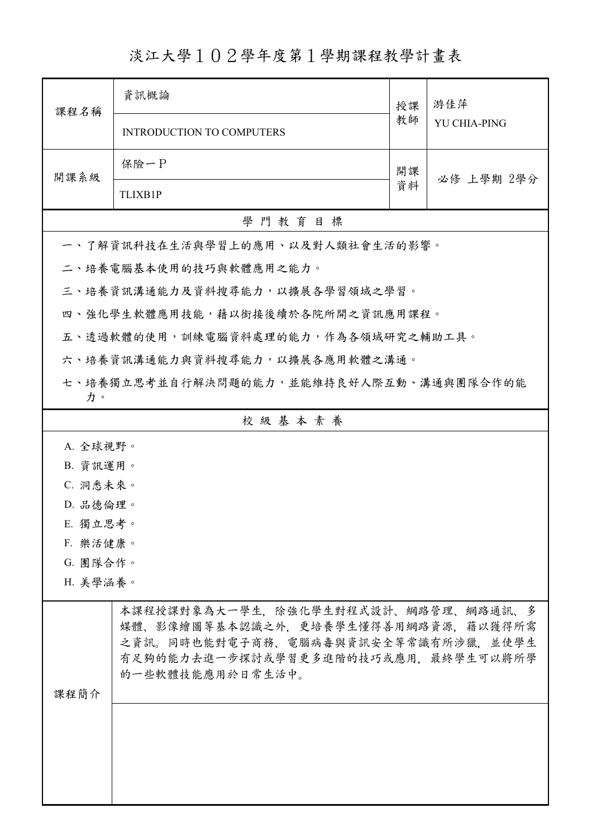淡江大學102學年度第1學期課程教學計畫表

| 課程名稱                                          | 資訊概論                                                                                                                                                                         | 授課 | 游佳萍<br><b>YU CHIA-PING</b> |  |  |  |
|-----------------------------------------------|------------------------------------------------------------------------------------------------------------------------------------------------------------------------------|----|----------------------------|--|--|--|
|                                               | <b>INTRODUCTION TO COMPUTERS</b>                                                                                                                                             | 教師 |                            |  |  |  |
| 開課系級                                          | 保險一P                                                                                                                                                                         | 開課 | 必修 上學期 2學分                 |  |  |  |
|                                               | <b>TLIXB1P</b>                                                                                                                                                               | 資料 |                            |  |  |  |
| 學門教育目標                                        |                                                                                                                                                                              |    |                            |  |  |  |
| 一、了解資訊科技在生活與學習上的應用、以及對人類社會生活的影響。              |                                                                                                                                                                              |    |                            |  |  |  |
|                                               | 二、培養電腦基本使用的技巧與軟體應用之能力。                                                                                                                                                       |    |                            |  |  |  |
| 三、培養資訊溝通能力及資料搜尋能力,以擴展各學習領域之學習。                |                                                                                                                                                                              |    |                            |  |  |  |
|                                               | 四、強化學生軟體應用技能,藉以銜接後續於各院所開之資訊應用課程。                                                                                                                                             |    |                            |  |  |  |
|                                               | 五、透過軟體的使用,訓練電腦資料處理的能力,作為各領域研究之輔助工具。                                                                                                                                          |    |                            |  |  |  |
|                                               | 六、培養資訊溝通能力與資料搜尋能力,以擴展各應用軟體之溝通。                                                                                                                                               |    |                            |  |  |  |
| 七、培養獨立思考並自行解決問題的能力,並能維持良好人際互動、溝通與團隊合作的能<br>力。 |                                                                                                                                                                              |    |                            |  |  |  |
| 校級基本素養                                        |                                                                                                                                                                              |    |                            |  |  |  |
| A. 全球視野。                                      |                                                                                                                                                                              |    |                            |  |  |  |
| B. 資訊運用。                                      |                                                                                                                                                                              |    |                            |  |  |  |
| C. 洞悉未來。                                      |                                                                                                                                                                              |    |                            |  |  |  |
| D. 品德倫理。                                      |                                                                                                                                                                              |    |                            |  |  |  |
| E. 獨立思考。                                      |                                                                                                                                                                              |    |                            |  |  |  |
| F. 樂活健康。                                      |                                                                                                                                                                              |    |                            |  |  |  |
| G. 團隊合作。                                      |                                                                                                                                                                              |    |                            |  |  |  |
| H. 美學涵養。                                      |                                                                                                                                                                              |    |                            |  |  |  |
| 課程簡介                                          | 本課程授課對象為大一學生,除強化學生對程式設計、網路管理、網路通訊、多<br>媒體、影像繪圖等基本認識之外,更培養學生懂得善用網路資源、藉以獲得所需<br>之資訊。同時也能對電子商務、電腦病毒與資訊安全等常識有所涉獵、並使學生<br>有足夠的能力去進一步探討或學習更多進階的技巧或應用,最終學生可以將所學<br>的一些軟體技能應用於日常生活中。 |    |                            |  |  |  |
|                                               |                                                                                                                                                                              |    |                            |  |  |  |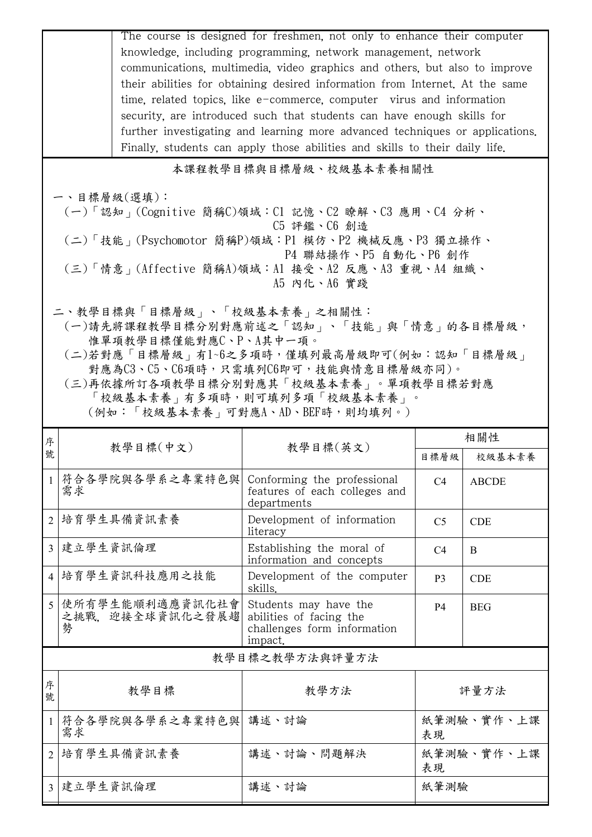|                                                                                                                                                                                                                                                                                                    | The course is designed for freshmen, not only to enhance their computer<br>knowledge, including programming, network management, network<br>communications, multimedia, video graphics and others, but also to improve<br>their abilities for obtaining desired information from Internet. At the same         |                                                                                            |                        |                        |  |  |  |
|----------------------------------------------------------------------------------------------------------------------------------------------------------------------------------------------------------------------------------------------------------------------------------------------------|----------------------------------------------------------------------------------------------------------------------------------------------------------------------------------------------------------------------------------------------------------------------------------------------------------------|--------------------------------------------------------------------------------------------|------------------------|------------------------|--|--|--|
|                                                                                                                                                                                                                                                                                                    | time, related topics, like e-commerce, computer virus and information<br>security, are introduced such that students can have enough skills for<br>further investigating and learning more advanced techniques or applications.<br>Finally, students can apply those abilities and skills to their daily life. |                                                                                            |                        |                        |  |  |  |
|                                                                                                                                                                                                                                                                                                    | 本課程教學目標與目標層級、校級基本素養相關性                                                                                                                                                                                                                                                                                         |                                                                                            |                        |                        |  |  |  |
| 一、目標層級(選填):<br>(一)「認知」(Cognitive 簡稱C)領域:Cl 記憶、C2 瞭解、C3 應用、C4 分析、                                                                                                                                                                                                                                   |                                                                                                                                                                                                                                                                                                                |                                                                                            |                        |                        |  |  |  |
| C5 評鑑、C6 創造<br>(二)「技能」(Psychomotor 簡稱P)領域:P1 模仿、P2 機械反應、P3 獨立操作、<br>P4 聯結操作、P5 自動化、P6 創作                                                                                                                                                                                                           |                                                                                                                                                                                                                                                                                                                |                                                                                            |                        |                        |  |  |  |
|                                                                                                                                                                                                                                                                                                    | (三)「情意」(Affective 簡稱A)領域:Al 接受、A2 反應、A3 重視、A4 組織、<br>A5 内化、A6 實踐                                                                                                                                                                                                                                               |                                                                                            |                        |                        |  |  |  |
| 二、教學目標與「目標層級」、「校級基本素養」之相關性:<br>(一)請先將課程教學目標分別對應前述之「認知」、「技能」與「情意」的各目標層級,<br>惟單項教學目標僅能對應C、P、A其中一項。<br>(二)若對應「目標層級」有1~6之多項時,僅填列最高層級即可(例如:認知「目標層級」<br>對應為C3、C5、C6項時,只需填列C6即可,技能與情意目標層級亦同)。<br>(三)再依據所訂各項教學目標分別對應其「校級基本素養」。單項教學目標若對應<br>「校級基本素養」有多項時,則可填列多項「校級基本素養」。<br>(例如:「校級基本素養」可對應A、AD、BEF時,則均填列。) |                                                                                                                                                                                                                                                                                                                |                                                                                            |                        |                        |  |  |  |
|                                                                                                                                                                                                                                                                                                    |                                                                                                                                                                                                                                                                                                                |                                                                                            |                        |                        |  |  |  |
| 序                                                                                                                                                                                                                                                                                                  | 教學目標(中文)                                                                                                                                                                                                                                                                                                       | 教學目標(英文)                                                                                   |                        | 相關性                    |  |  |  |
| 號                                                                                                                                                                                                                                                                                                  | 符合各學院與各學系之專業特色與 Conforming the professional<br>需求                                                                                                                                                                                                                                                              | features of each colleges and                                                              | 目標層級<br>C <sub>4</sub> | 校級基本素養<br><b>ABCDE</b> |  |  |  |
| 2 <sup>1</sup>                                                                                                                                                                                                                                                                                     | 培育學生具備資訊素養                                                                                                                                                                                                                                                                                                     | departments<br>Development of information                                                  | C <sub>5</sub>         | <b>CDE</b>             |  |  |  |
| 3 <sup>1</sup>                                                                                                                                                                                                                                                                                     | 建立學生資訊倫理                                                                                                                                                                                                                                                                                                       | literacy<br>Establishing the moral of<br>information and concepts                          | C <sub>4</sub>         | B                      |  |  |  |
| $\overline{4}$                                                                                                                                                                                                                                                                                     | 培育學生資訊科技應用之技能                                                                                                                                                                                                                                                                                                  | Development of the computer<br>skills.                                                     | P <sub>3</sub>         | <b>CDE</b>             |  |  |  |
| 5                                                                                                                                                                                                                                                                                                  | 使所有學生能順利適應資訊化社會<br>之挑戰、迎接全球資訊化之發展趨<br>勢                                                                                                                                                                                                                                                                        | Students may have the<br>abilities of facing the<br>challenges form information<br>impact. | <b>P4</b>              | <b>BEG</b>             |  |  |  |
|                                                                                                                                                                                                                                                                                                    |                                                                                                                                                                                                                                                                                                                | 教學目標之教學方法與評量方法                                                                             |                        |                        |  |  |  |
| 序<br>號                                                                                                                                                                                                                                                                                             | 教學目標                                                                                                                                                                                                                                                                                                           | 教學方法                                                                                       |                        | 評量方法                   |  |  |  |
| $\mathbf{1}$                                                                                                                                                                                                                                                                                       | 符合各學院與各學系之專業特色與<br>需求                                                                                                                                                                                                                                                                                          | 講述、討論                                                                                      | 表現                     | 紙筆測驗、實作、上課             |  |  |  |
| $\overline{2}$                                                                                                                                                                                                                                                                                     | 培育學生具備資訊素養                                                                                                                                                                                                                                                                                                     | 講述、討論、問題解決                                                                                 | 表現                     | 紙筆測驗、實作、上課             |  |  |  |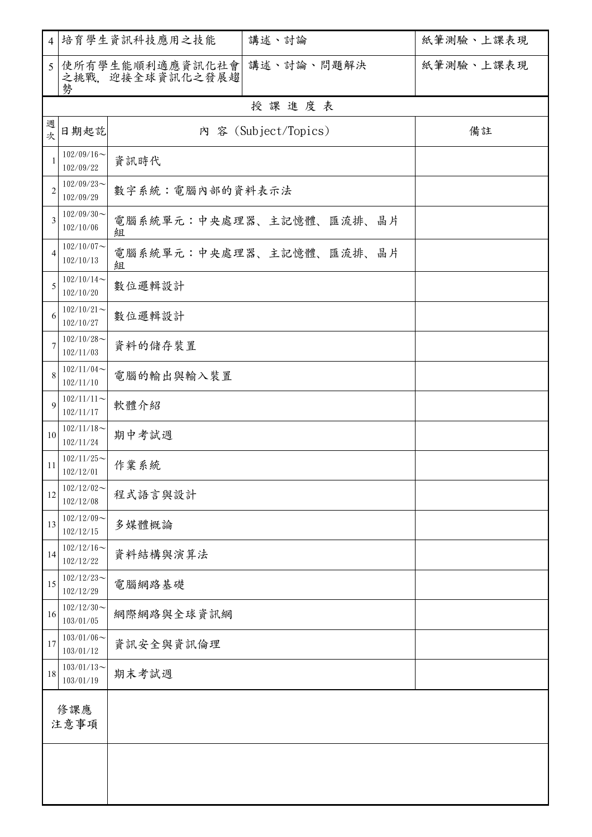| $\overline{4}$ |                            | 培育學生資訊科技應用之技能                      | 講述、討論                    | 紙筆測驗、上課表現 |
|----------------|----------------------------|------------------------------------|--------------------------|-----------|
| 5              | 勢                          | 使所有學生能順利適應資訊化社會<br>之挑戰,迎接全球資訊化之發展趨 | 講述、討論、問題解決               | 紙筆測驗、上課表現 |
|                |                            |                                    | 授課進度表                    |           |
| 週<br>次         | 日期起訖                       |                                    | 內 容 (Subject/Topics)     | 備註        |
| 1              | $102/09/16$ ~<br>102/09/22 | 資訊時代                               |                          |           |
| $\overline{2}$ | $102/09/23$ ~<br>102/09/29 | 數字系統:電腦內部的資料表示法                    |                          |           |
| 3              | $102/09/30$ ~<br>102/10/06 | 組                                  | 電腦系統單元:中央處理器、主記憶體、匯流排、晶片 |           |
| 4              | $102/10/07$ ~<br>102/10/13 | 組                                  | 電腦系統單元:中央處理器、主記憶體、匯流排、晶片 |           |
| 5              | $102/10/14$ ~<br>102/10/20 | 數位邏輯設計                             |                          |           |
| 6              | $102/10/21$ ~<br>102/10/27 | 數位邏輯設計                             |                          |           |
| $\tau$         | $102/10/28$ ~<br>102/11/03 | 資料的儲存裝置                            |                          |           |
| 8              | $102/11/04$ ~<br>102/11/10 | 電腦的輸出與輸入裝置                         |                          |           |
| 9              | $102/11/11$ ~<br>102/11/17 | 軟體介紹                               |                          |           |
| 10             | $102/11/18$ ~<br>102/11/24 | 期中考試週                              |                          |           |
| 11             | $102/11/25$ ~<br>102/12/01 | 作業系統                               |                          |           |
| 12             | $102/12/02$ ~<br>102/12/08 | 程式語言與設計                            |                          |           |
| 13             | $102/12/09$ ~<br>102/12/15 | 多媒體概論                              |                          |           |
| 14             | $102/12/16$ ~<br>102/12/22 | 資料結構與演算法                           |                          |           |
| 15             | $102/12/23$ ~<br>102/12/29 | 電腦網路基礎                             |                          |           |
| 16             | $102/12/30$ ~<br>103/01/05 | 網際網路與全球資訊網                         |                          |           |
| 17             | $103/01/06$ ~<br>103/01/12 | 資訊安全與資訊倫理                          |                          |           |
| 18             | $103/01/13$ ~<br>103/01/19 | 期末考試週                              |                          |           |
|                | 修課應<br>注意事項                |                                    |                          |           |
|                |                            |                                    |                          |           |
|                |                            |                                    |                          |           |